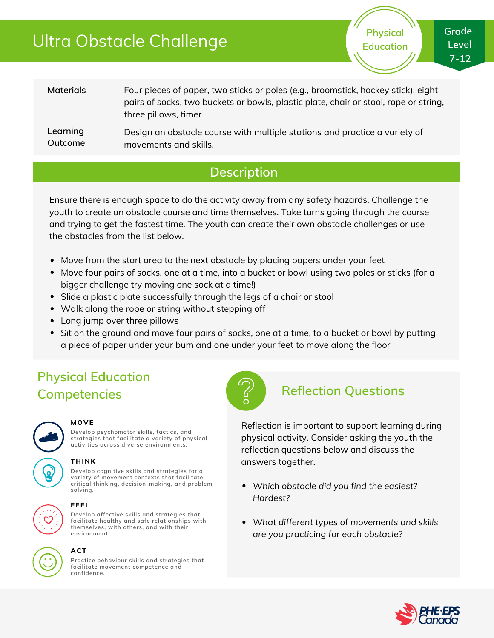# Ultra Obstacle Challenge

**Physical Education**

**Materials Learning Outcome** Four pieces of paper, two sticks or poles (e.g., broomstick, hockey stick), eight pairs of socks, two buckets or bowls, plastic plate, chair or stool, rope or string, three pillows, timer Design an obstacle course with multiple stations and practice a variety of movements and skills.

### **Description**

Ensure there is enough space to do the activity away from any safety hazards. Challenge the youth to create an obstacle course and time themselves. Take turns going through the course and trying to get the fastest time. The youth can create their own obstacle challenges or use the obstacles from the list below.

- Move from the start area to the next obstacle by placing papers under your feet
- Move four pairs of socks, one at a time, into a bucket or bowl using two poles or sticks (for a bigger challenge try moving one sock at a time!)
- Slide a plastic plate successfully through the legs of a chair or stool
- Walk along the rope or string without stepping off
- Long jump over three pillows
- Sit on the ground and move four pairs of socks, one at a time, to a bucket or bowl by putting a piece of paper under your bum and one under your feet to move along the floor

## **Physical Education Competencies Reflection Questions**



#### **MOVE**

**Develop psychomotor skills, tactics, and strategies that facilitate a variety of physical activities across diverse environments.**

### **THINK**

**Develop cognitive skills and strategies for a variety of movement contexts that facilitate critical thinking, decision-making, and problem solving.**



#### **FEEL**

**Develop affective skills and strategies that facilitate healthy and safe relationships with themselves, with others, and with their environment.**



### **ACT**

**Practice behaviour skills and strategies that facilitate movement competence and confidence.**



Reflection is important to support learning during physical activity. Consider asking the youth the reflection questions below and discuss the answers together.

- *Which obstacle did you find the easiest? Hardest?*
- *What different types of movements and skills are you practicing for each obstacle?*